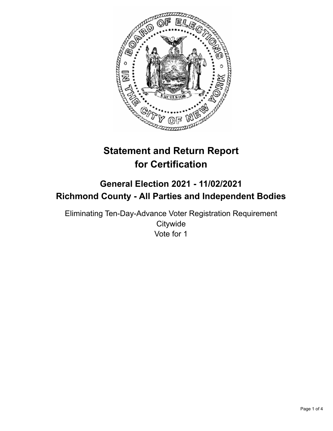

# **Statement and Return Report for Certification**

## **General Election 2021 - 11/02/2021 Richmond County - All Parties and Independent Bodies**

Eliminating Ten-Day-Advance Voter Registration Requirement **Citywide** Vote for 1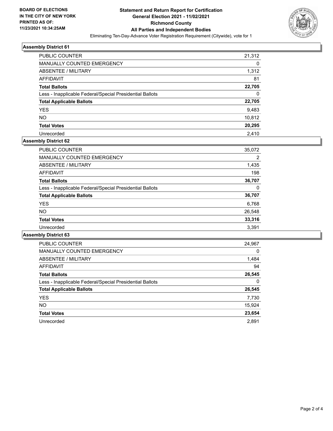

## **Assembly District 61**

| <b>PUBLIC COUNTER</b>                                    | 21,312 |
|----------------------------------------------------------|--------|
| <b>MANUALLY COUNTED EMERGENCY</b>                        | 0      |
| ABSENTEE / MILITARY                                      | 1,312  |
| <b>AFFIDAVIT</b>                                         | 81     |
| <b>Total Ballots</b>                                     | 22,705 |
| Less - Inapplicable Federal/Special Presidential Ballots | 0      |
| <b>Total Applicable Ballots</b>                          | 22,705 |
| <b>YES</b>                                               | 9.483  |
| <b>NO</b>                                                | 10,812 |
| <b>Total Votes</b>                                       | 20,295 |
| Unrecorded                                               | 2.410  |

## **Assembly District 62**

| <b>PUBLIC COUNTER</b>                                    | 35,072         |
|----------------------------------------------------------|----------------|
| <b>MANUALLY COUNTED EMERGENCY</b>                        | $\overline{2}$ |
| ABSENTEE / MILITARY                                      | 1,435          |
| AFFIDAVIT                                                | 198            |
| <b>Total Ballots</b>                                     | 36,707         |
| Less - Inapplicable Federal/Special Presidential Ballots | 0              |
| <b>Total Applicable Ballots</b>                          | 36,707         |
| <b>YES</b>                                               | 6,768          |
| <b>NO</b>                                                | 26,548         |
| <b>Total Votes</b>                                       | 33,316         |
| Unrecorded                                               | 3.391          |

## **Assembly District 63**

| <b>PUBLIC COUNTER</b>                                    | 24,967   |
|----------------------------------------------------------|----------|
| <b>MANUALLY COUNTED EMERGENCY</b>                        | $\Omega$ |
| ABSENTEE / MILITARY                                      | 1,484    |
| <b>AFFIDAVIT</b>                                         | 94       |
| <b>Total Ballots</b>                                     | 26,545   |
| Less - Inapplicable Federal/Special Presidential Ballots | 0        |
| <b>Total Applicable Ballots</b>                          | 26,545   |
| <b>YES</b>                                               | 7,730    |
| NO.                                                      | 15,924   |
| <b>Total Votes</b>                                       | 23,654   |
| Unrecorded                                               | 2.891    |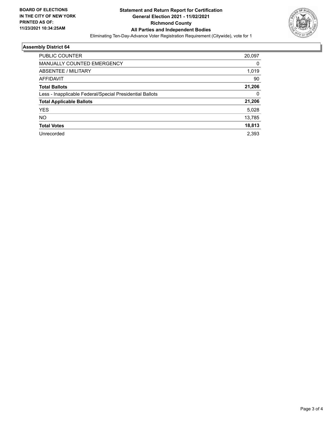

## **Assembly District 64**

| <b>PUBLIC COUNTER</b>                                    | 20,097 |
|----------------------------------------------------------|--------|
| <b>MANUALLY COUNTED EMERGENCY</b>                        | 0      |
| ABSENTEE / MILITARY                                      | 1,019  |
| <b>AFFIDAVIT</b>                                         | 90     |
| <b>Total Ballots</b>                                     | 21,206 |
| Less - Inapplicable Federal/Special Presidential Ballots | 0      |
| <b>Total Applicable Ballots</b>                          | 21,206 |
| <b>YES</b>                                               | 5,028  |
| NO.                                                      | 13,785 |
| <b>Total Votes</b>                                       | 18,813 |
| Unrecorded                                               | 2,393  |
|                                                          |        |